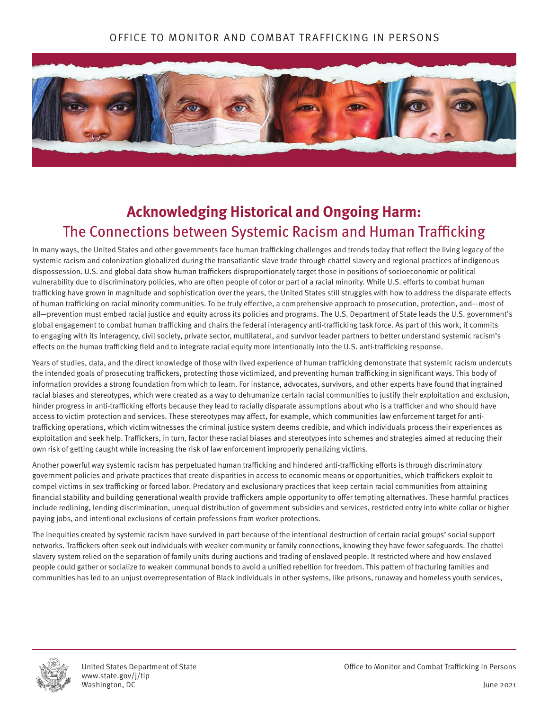## OFFICE TO MONITOR AND COMBAT TRAFFICKING IN PERSONS



# **Acknowledging Historical and Ongoing Harm:**  The Connections between Systemic Racism and Human Trafficking

In many ways, the United States and other governments face human trafficking challenges and trends today that reflect the living legacy of the systemic racism and colonization globalized during the transatlantic slave trade through chattel slavery and regional practices of indigenous dispossession. U.S. and global data show human traffickers disproportionately target those in positions of socioeconomic or political vulnerability due to discriminatory policies, who are often people of color or part of a racial minority. While U.S. efforts to combat human trafficking have grown in magnitude and sophistication over the years, the United States still struggles with how to address the disparate effects of human trafficking on racial minority communities. To be truly effective, a comprehensive approach to prosecution, protection, and—most of all—prevention must embed racial justice and equity across its policies and programs. The U.S. Department of State leads the U.S. government's global engagement to combat human trafficking and chairs the federal interagency anti-trafficking task force. As part of this work, it commits to engaging with its interagency, civil society, private sector, multilateral, and survivor leader partners to better understand systemic racism's effects on the human trafficking field and to integrate racial equity more intentionally into the U.S. anti-trafficking response.

Years of studies, data, and the direct knowledge of those with lived experience of human trafficking demonstrate that systemic racism undercuts the intended goals of prosecuting traffickers, protecting those victimized, and preventing human trafficking in significant ways. This body of information provides a strong foundation from which to learn. For instance, advocates, survivors, and other experts have found that ingrained racial biases and stereotypes, which were created as a way to dehumanize certain racial communities to justify their exploitation and exclusion, hinder progress in anti-trafficking efforts because they lead to racially disparate assumptions about who is a trafficker and who should have access to victim protection and services. These stereotypes may affect, for example, which communities law enforcement target for antitrafficking operations, which victim witnesses the criminal justice system deems credible, and which individuals process their experiences as exploitation and seek help. Traffickers, in turn, factor these racial biases and stereotypes into schemes and strategies aimed at reducing their own risk of getting caught while increasing the risk of law enforcement improperly penalizing victims.

Another powerful way systemic racism has perpetuated human trafficking and hindered anti-trafficking efforts is through discriminatory government policies and private practices that create disparities in access to economic means or opportunities, which traffickers exploit to compel victims in sex trafficking or forced labor. Predatory and exclusionary practices that keep certain racial communities from attaining financial stability and building generational wealth provide traffickers ample opportunity to offer tempting alternatives. These harmful practices include redlining, lending discrimination, unequal distribution of government subsidies and services, restricted entry into white collar or higher paying jobs, and intentional exclusions of certain professions from worker protections.

The inequities created by systemic racism have survived in part because of the intentional destruction of certain racial groups' social support networks. Traffickers often seek out individuals with weaker community or family connections, knowing they have fewer safeguards. The chattel slavery system relied on the separation of family units during auctions and trading of enslaved people. It restricted where and how enslaved people could gather or socialize to weaken communal bonds to avoid a unified rebellion for freedom. This pattern of fracturing families and communities has led to an unjust overrepresentation of Black individuals in other systems, like prisons, runaway and homeless youth services,



www.state.gov/j/tip Washington, DC June 2021